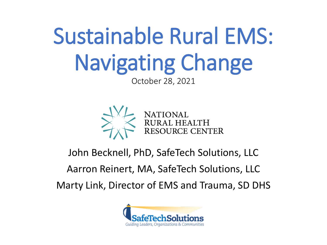# Sustainable Rural EMS: Navigating Change

October 28, 2021



### John Becknell, PhD, SafeTech Solutions, LLC

### Aarron Reinert, MA, SafeTech Solutions, LLC

Marty Link, Director of EMS and Trauma, SD DHS

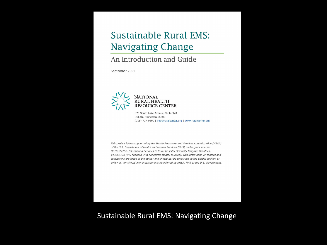### **Sustainable Rural EMS: Navigating Change**

#### An Introduction and Guide

September 2021



525 South Lake Avenue, Suite 320 Duluth, Minnesota 55802 (218) 727-9390 | info@ruralcenter.org | www.ruralcenter.org

This project is/was supported by the Health Resources and Services Administration (HRSA) of the U.S. Department of Health and Human Services (HHS) under grant number UB1RH24206, Information Services to Rural Hospital Flexibility Program Grantees, \$1,009,120 (0% financed with nongovernmental sources). This information or content and conclusions are those of the author and should not be construed as the official position or policy of, nor should any endorsements be inferred by HRSA, HHS or the U.S. Government.

Sustainable Rural EMS: Navigating Change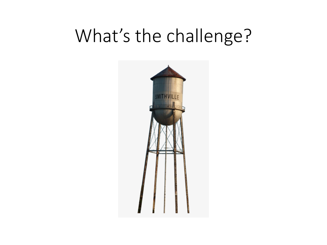## What's the challenge?

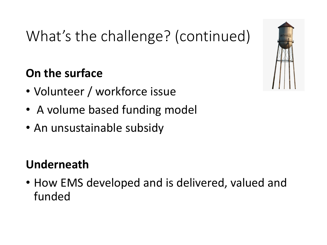## What's the challenge? (continued)

### **On the surface**

- Volunteer / workforce issue
- A volume based funding model
- An unsustainable subsidy

### **Underneath**

• How EMS developed and is delivered, valued and funded

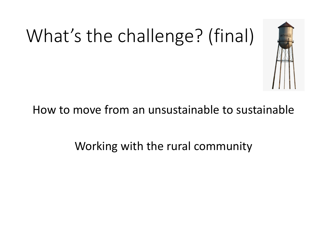# What's the challenge? (final)



### How to move from an unsustainable to sustainable

Working with the rural community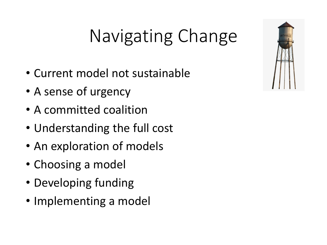## Navigating Change

- Current model not sustainable
- A sense of urgency
- A committed coalition
- Understanding the full cost
- An exploration of models
- Choosing a model
- Developing funding
- Implementing a model

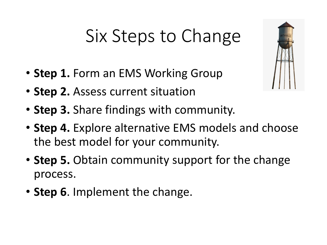## Six Steps to Change

- **Step 1.** Form an EMS Working Group
- **Step 2.** Assess current situation
- **Step 3.** Share findings with community.
- **Step 4.** Explore alternative EMS models and choose the best model for your community.
- **Step 5.** Obtain community support for the change process.
- **Step 6**. Implement the change.

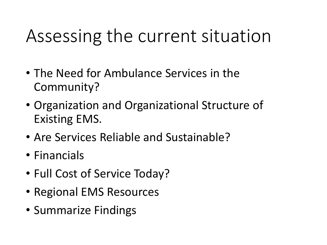## Assessing the current situation

- The Need for Ambulance Services in the Community?
- Organization and Organizational Structure of Existing EMS.
- Are Services Reliable and Sustainable?
- Financials
- Full Cost of Service Today?
- Regional EMS Resources
- Summarize Findings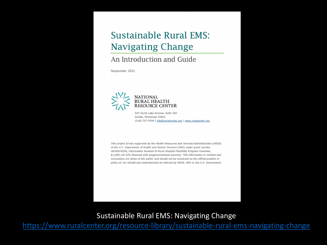### **Sustainable Rural EMS: Navigating Change**

#### An Introduction and Guide

September 2021



525 South Lake Avenue, Suite 320 Duluth, Minnesota 55802 (218) 727-9390 | info@ruralcenter.org | www.ruralcenter.org

This project is/was supported by the Health Resources and Services Administration (HRSA) of the U.S. Department of Health and Human Services (HHS) under grant number UB1RH24206, Information Services to Rural Hospital Flexibility Program Grantees, \$1,009,120 (0% financed with nongovernmental sources). This information or content and conclusions are those of the author and should not be construed as the official position or policy of, nor should any endorsements be inferred by HRSA, HHS or the U.S. Government.

Sustainable Rural EMS: Navigating Change

<https://www.ruralcenter.org/resource-library/sustainable-rural-ems-navigating-change>